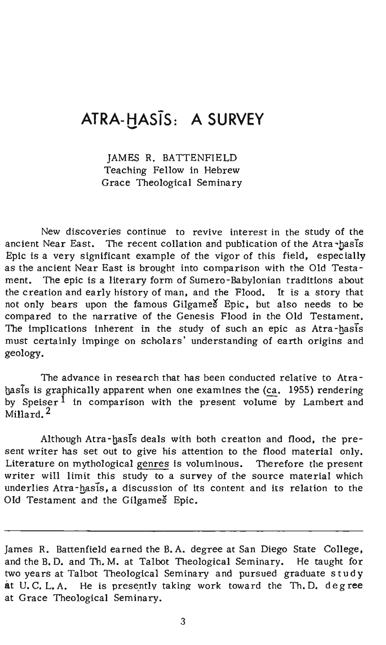# **ATRA-HASTs: A SURVEY** --

JAMES R. BATTENFIELD Teaching Fellow in Hebrew Grace Theological Seminary

New discoveries continue to revive interest in the study of the ancient Near East. The recent collation and publication of the Atra-hasis Epic is a very significant example of the vigor of this field, especially as the ancient Near East is brought into comparison with the Old Testament. The epic is a literary form of Sumero-Babylonian traditions about the creation and early history of man, and the Flood. It is a story that not only bears upon the famous GilgameS" Epic, but also needs to be compared to the narrative of the Genesis Flood in the Old Testament. The implications inherent in the study of such an epic as Atra-hasis must certainly impinge on scholars' understanding of earth origins and geology.

The advance in research that has been conducted relative to AtrabasIs is graphically apparent when one examines the (ca. 1955) rendering by Speiser  $1$  in comparison with the present volume by Lambert and Millard. 2

Although Atra-hasis deals with both creation and flood, the present writer has set out to give his attention to the flood material only. Literature on mythological genres is voluminous. Therefore the present writer will limit this study to a survey of the source material which underlies Atra-hasis, a discussion of its content and its relation to the Old Testament and the Gilgames Epic.

James R. Battenfield earned the B. A. degree at San Diego State College, and the B. D. and Th. M. at Talbot Theological Seminary. He taught for two years at Talbot Theological Seminary and pursued graduate study at U.C. L.A. He is presently taking work toward the Th.D. degree at Grace Theological Seminary.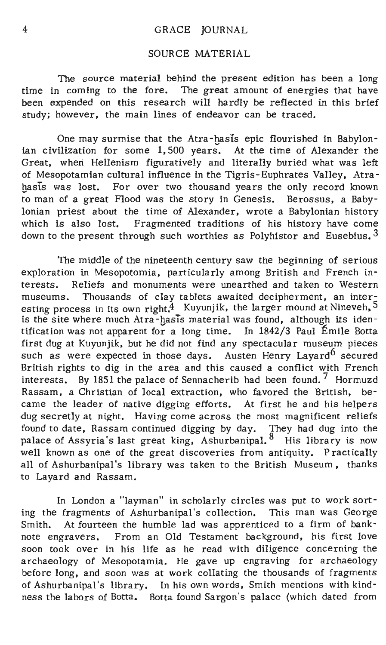#### SOURCE MATERIAL

The source material behind the present edition has been a long time in coming to the fore. The great amount of energies that have been expended on this research will hardly be reflected in this brief study; however. the main lines of endeavor can be traced.

One may surmise that the Atra-hasis epic flourished in Babylonian civilization for some 1,500 years. At the time of Alexander the Great. when Hellenism figuratively and literally buried what was left of Mesopotamian cultural influence in the Tigris-Euphrates Valley. Atra hasts was lost. For over two thousand years the only record known to man of a great Flood was the story in Genesis. Berossus. a Babylonian priest about the time of Alexander. wrote a Babylonian history which is also lost. Fragmented traditions of his history have come down to the present through such worthies as Polyhistor and Eusebius.  $3$ 

The middle of the nineteenth century saw the beginning of serious exploration in Mesopotomia. particularly among British and French interests. Reliefs and monuments were unearthed and taken to Western museums. Thousands of clay tablets awaited decipherment, an interesting process in its own right.<sup>4</sup> Kuyunjik, the larger mound at Nineveh, 5 is the site where much Atra-hasis material was found, although its identification was not apparent for a long time. In 1842/3 Paul Emile Botta first dug at Kuyunjik. but he did not find any spectacular museum pieces such as were expected in those days. Austen Henry Layard<sup>6</sup> secured British rights to dig in the area and this caused a conflict with French interests. By 1851 the palace of Sennacherib had been found.<sup>7</sup> Hormuzd Rassam. a Christian of local extraction. who favored the British. became the leader of native digging efforts. At first he and his helpers dug secretly at night. Having come across the most magnificent reliefs found to date. Rassam continued digging by day. They had dug into the palace of Assyria's last great king, Ashurbanipal.<sup>8</sup> His library is now well known as one of the great discoveries from antiquity. Practically all of Ashurbanipal's library was taken to the British Museum, thanks to Layard and Rassam.

In London a "layman" in scholarly circles was put to work sorting the fragments of Ashurbanipal's collection. This man was George Smith. At fourteen the humble lad was apprenticed to a firm of banknote engravers. From an Old Testament background, his first love soon took over in his life as he read with diligence concerning the archaeology of Mesopotamia. He gave up engraving for archaeology before long. and soon was at work collating the thousands of fragments of Ashurbanipal's library. In his own words, Smith mentions with kindness the labors of Botta. Botta found Sargon's palace (which dated from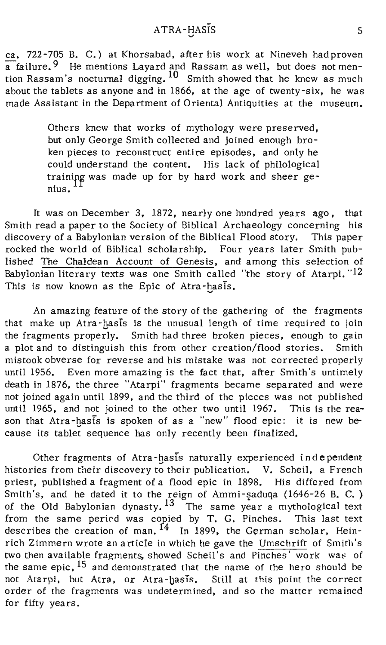# ATRA-HASIS 5

ca. 722 -705 B. C.) at Khorsabad. after his work at Nineveh had proven  $a$  failure.<sup>9</sup> He mentions Layard and Rassam as well, but does not mention Rassam's nocturnal digging. <sup>10</sup> Smith showed that he knew as much about the tablets as anyone and in 1866. at the age of twenty-six. he was made Assistant in the Department of Oriental Antiquities at the museum.

> Others knew that works of mythology were preserved. but only George Smith collected and joined enough broken pieces to reconstruct entire episodes, and only he could understand the content. His lack of philological training was made up for by hard work and sheer genius.

It was on December 3, 1872, nearly one hundred years ago, that Smith read a paper to the Society of Biblical Archaeology concerning his discovery of a Babylonian version of the Biblical Flood story. This paper rocked the world of Biblical scholarship. Four years later Smith published The Chaldean Account of Genesis. and among this selection of Babylonian literary texts was one Smith called "the story of Atarpi. "12 This is now known as the Epic of Atra-hasis.

An amazing feature of the story of the gathering of the fragments that make up Atra-hasis is the unusual length of time required to join the fragments properly. Smith had three broken pieces, enough to gain a plot and to distinguish this from other creation/flood stories. Smith mistook obverse for reverse and his mistake was not corrected properly until 1956. Even more amazing is the fact that, after Smith's untimely death in 1876. the three "Atarpi" fragments became separated and were not joined again until 1899. and the third of the pieces was not published until 1965, and not joined to the other two until 1967. This is the reason that Atra-hasis is spoken of as a "new" flood epic: it is new because its tablet sequence has only recently been finalized.

Other fragments of Atra-hasis naturally experienced independent histories from their discovery to their publication. V. Scheil, a French priest. published a fragment of a flood epic in 1898. His differed from Smith's, and he dated it to the reign of Ammi-saduqa  $(1646-26 B, C, )$ of the Old Babylonian dynasty.<sup>13</sup> The same year a mythological text from the same pericd was copied by T. G. Pinches. This last text describes the creation of man.  $^{14}$  In 1899, the German scholar, Heinrich Zimmern wrote an article in which he gave the Umschrift of Smith's two then available fragments, showed Scheil's and Pinches' work was of the same epic, <sup>15</sup> and demonstrated that the name of the hero should be not Atarpi, but Atra, or Atra-hasis. Still at this point the correct order of the fragments was undetermined. and so the matter remained for fifty years.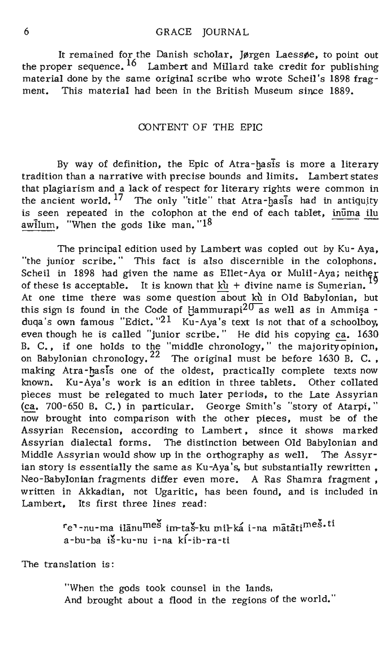#### 6 GRACE JOURNAL

It remained for the Danish scholar, Jørgen Laessøe, to point out the proper sequence. <sup>16</sup> Lambert and Millard take credit for publishing material done by the same original scribe who wrote Scheil's 1898 fragment. This material had been in the British Museum since 1889.

#### CONTENT OF THE EPIC

By way of definition, the Epic of Atra-hasis is more a literary tradition than a narrative with precise bounds and limits. Lambert states that plagiarism and a lack of respect for literary rights were common in the ancient world. <sup>17</sup> The only "title" that Atra-hasis had in antiquity is seen repeated in the colophon at the end of each tablet, <u>inuma ilu</u> awilum, "When the gods like man."<sup>18</sup>

The principal edition used by Lambert was copied out by Ku- Aya, "the junior scribe." This fact is also discernible in the colophons. Scheil in 1898 had given the name as Ellet-Aya or Mulil-Aya; neither of these is acceptable. It is known that  $\kappa u$  + divine name is Sumerian.<sup>1</sup> At one time there was some question about ku in Old Babylonian, but this sign is found in the Code of Hammurapi<sup>20</sup> as well as in Ammisa duqa's own famous "Edict. "21 Ku-Aya's text is not that of a schoolboy, even though he is called "junior scribe." He did his copying ca. 1630 B. C., if one holds to the "middle chronology," the majority opinion, on Babylonian chronology.<sup>22</sup> The original must be before 1630 B. C., making Atra-hasis one of the oldest, practically complete texts now known. Ku-Aya's work is an edition in three tablets. Other collated pieces must be relegated to much later periods, to the Late Assyrian (ca. 700-650 B. C.) in particular. George Smith's "story of Atarpi, " now brought into comparison with the other pieces, must be of the Assyrian Recension, according to Lambert, since it shows marked Assyrian dialectal forms. The distinction between Old Babylonian and Middle Assyrian would show up in the orthography as well. The Assyrian story is essentially the same as Ku-Aya's, but substantially rewritten. Neo-Babylonian fragments differ even more. A Ras Shamra fragment, written in Akkadian, not Ugaritic, has been found, and is included in Lambert, Its first three lines read:

> re'-nu-ma ilānumes im-taš-ku mil-ka i-na mātāti<sup>meš. ti</sup> a-bu-ba iš-ku-nu i-na ki-ib-ra-ti

The translation is:

"When the gods took counsel in the lands, And brought about a flood in the regions of the world."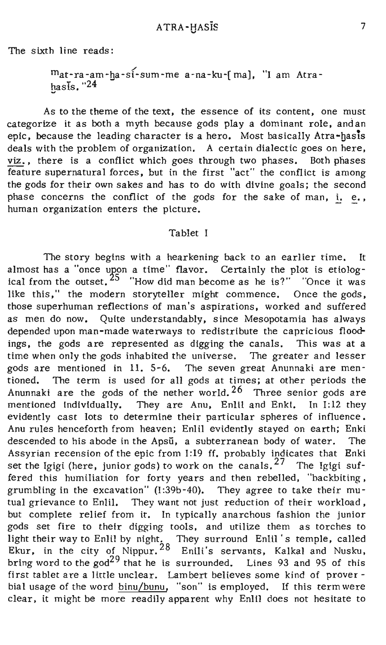The sixth line reads:

mat-ra-am-ha-s(-sum-me a-na-ku-[ma), "I am Atrahasis.  $"^{24}$ 

As to the theme of the text, the essence of its content, one must categorize it as both a myth because gods playa dominant role, andan epic, because the leading character is a hero. Most basically Atra-hasts deals with the problem of organization. A certain dialectic goes on here, viz., there is a conflict which goes through two phases. Both phases feature supernatural forces, but in the first "act" the conflict is among the gods for their own sakes and has to do with divine goals; the second phase concerns the conflict of the gods for the sake of man,  $i. e.$ , human organization enters the picture.

#### Tablet I

The story begins with a hearkening back to an earlier time. It almost has a "once upon a time" flavor. Certainly the plot is etiological from the outset.  $25$  "How did man become as he is?" "Once it was like this," the modern storyteller might commence. Once the gods, those superhuman reflections of man's aspirations, worked and suffered as men do now. Quite understandably, since Mesopotamia has always depended upon man-made waterways to redistribute the capricious floodings, the gods are represented as digging the canals. This was at a time when only the gods inhabited the universe. The greater and lesser gods are mentioned in II. 5-6. The seven great Anunnaki are mentioned. The term is used for all gods at times; at other periods the Anunnaki are the gods of the nether world. <sup>26</sup> Three senior gods are mentioned Individually. They are Anu, Enlil and Enki. In 1:12 they evidently cast lots to determine their particular spheres of influence. Anu rules henceforth from heaven; Enlil evidently stayed on earth; Enki descended to his abode in the Apsu, a subterranean body of water. The Assyrian recension of the epic from 1:19 ft. probably indicates that Enki set the Igigi (here, junior gods) to work on the canals. <sup>27</sup> The Igigi suffered this humiliation for forty years and then rebelled, "backbiting, grumbling in the excavation" (I:39b-40). They agree to take their mutual grievance to Enlil. They want not just reduction of their workload, but complete relief from it. In typically anarchous fashion the junior gods set fire to their digging tools, and utilize them as torches to light their way to Enlil by night. They surround Enlil's temple, called<br>Ekur, in the city of Nippur.<sup>28</sup> Enlli's servants, Kalkal and Nusku, bring word to the god<sup>29</sup> that he is surrounded. Lines 93 and 95 of this first tablet are a little unclear. Lambert believes some kind of proverbial usage of the word binu/bunu, "son" is employed. If this term were clear, it might be more readily apparent why Enlil does not hesitate to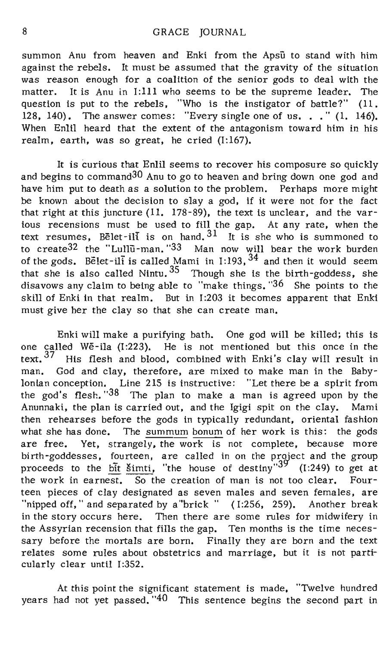summon Anu from heaven and Enki from the Apsu to stand with him against the rebels. It must be assumed that the gravity of the situation was reason enough for a coalition of the senior gods to deal with the matter. It is Anu in 1:111 who seems to be the supreme leader. The question is put to the rebels, "Who is the instigator of battle?" (11. 128, 140). The answer comes: "Every single one of us. . ." (1. 146). When Enlil heard that the extent of the antagonism toward him in his realm, earth, was so great, he cried (1:167).

It is curious that Enlil seems to recover his composure so quickly and begins to command30 Anu to go to heaven and bring down one god and have him put to death as a solution to the problem. Perhaps more might be known about the decision to slay a god, if it were not for the fact that right at this juncture (11. 178-89), the text is unclear, and the various recensions must be used to fill the gap. At any rate, when the text resumes, Belet-ill is on hand.  $31$  It is she who is summoned to to create $32$  the "Lullū-man." $33$  Man now will bear the work burden of the gods. Belet-ili is called Mami in 1:193, <sup>34</sup> and then it would seem that she is also called Nintu.  $35^{\circ}$  Though she is the birth-goddess, she disavows any claim to being able to "make things. "36 She points to the skill of Enki in that realm. But in 1:203 it becomes apparent that Enki must give her the clay so that she can create man.

Enki will make a purifying bath. One god will be killed; this is one called We-ila (1:223). He is not mentioned but this once in the text. <sup>37</sup> His flesh and blood, combined with Enki's clay will result in man. God and clay, therefore, are mixed to make man in the Babylonian conception. Line 215 is instructive: "Let there be a spirit from the god's flesh."<sup>38</sup> The plan to make a man is agreed upon by the Anunnaki, the plan is carried out, and the Igigi spit on the clay. Mami then rehearses before the gods in typically redundant, oriental fashion what she has done. The summum bonum of her work is this: the gods are free. Yet, strangely, the work is not complete, because more birth-goddesses, fourteen, are called in on the project and the group proceeds to the bit simti, "the house of destiny"  $(1:249)$  to get at the work in earnest. So the creation of man is not too clear. Fourteen pieces of clay designated as seven males and seven females, are "nipped off," and separated by a"brick" (1:256, 259). Another break in the story occurs here. Then there are some rules for midwifery in the Assyrian recension that fills the gap. Ten months is the time necessary before the mortals are born. Finally they are born and the text relates some rules about obstetrics and marriage, but it is not particularly clear until 1:352.

At this point the Significant statement is made, "Twelve hundred years had not yet passed. "40 This sentence begins the second part in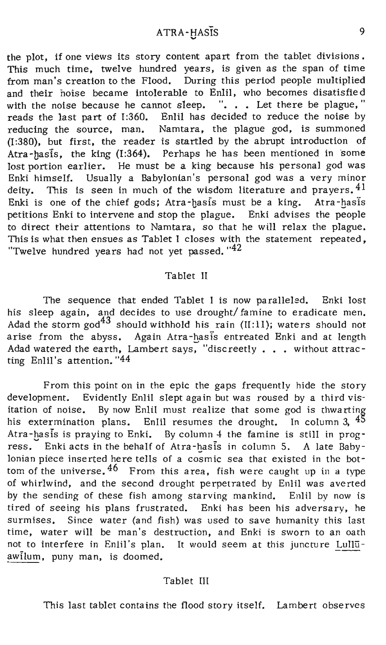# ATRA-HASIS 9

the plot, if one views its story content apart from the tablet divisions. This much time, twelve hundred years, is given as the span of time from man's creation to the Flood. During this period people multiplied and their noise became intolerable to EnliI, who becomes disatisfie d with the noise because he cannot sleep. ". . . Let there be plague," reads the last part of 1:360. Enlil has decided to reduce the noise by reducing the source, man. Namtara, the plague god, is summoned (1:380), but first, the reader is startled by the abrupt introduction of Atra-hasis, the king  $(1:364)$ . Perhaps he has been mentioned in some lost portion earlier. He must be a king because his personal god was Enki himself. Usually a Babylonian's personal god was a very minor deity. This is seen in much of the wisdom literature and prayers.  $41$ Enki is one of the chief gods; Atra-hasis must be a king. Atra-hasis petitions Enki to intervene and stop the plague. Enki advises the people to direct their attentions to Namtara, so that he will relax the plague. This is what then ensues as Tablet I closes with the statement repeated, "Twelve hundred years had not yet passed. " $42$ 

#### Tablet II

The sequence that ended Tablet I is now paralleled. Enki lost his sleep again, and decides to use drought/famine to eradicate men. Adad the storm god<sup>43</sup> should withhold his rain (II:11); waters should not arise from the abyss. Again Atra-hasis entreated Enki and at length Adad watered the earth, Lambert says, "discreetly . . . without attracting Enlil's attention. "44

From this point on in the epic the gaps frequently hide the story development. Evidently Enlil slept again but was roused by a third visitation of noise. By now Enlil must realize that some god is thwarting his extermination plans. Enlil resumes the drought. In column 3,  $45$ Atra-hasis is praying to Enki. By column 4 the famine is still in progress. Enki acts in the behalf of Atra-hasis in column 5. A late Babylonian piece inserted here tells of a cosmic sea that existed in the bottom of the universe. <sup>46</sup> From this area, fish were caught up in a type of whirlwind, and the second drought perpetrated by Enlil was averted by the sending of these fish among starving mankind. Enlil by now is tired of seeing his plans frustrated. Enki has been his adversary, he surmises. Since water (and fish) was used to save humanity this last time, water will be man's destruction, and Enki is sworn to an oath not to interfere in Enlil's plan. It would seem at this juncture Lullūawilum, puny man, is doomed.

#### Tablet III

This last tablet contains the flood story itself. Lambert observes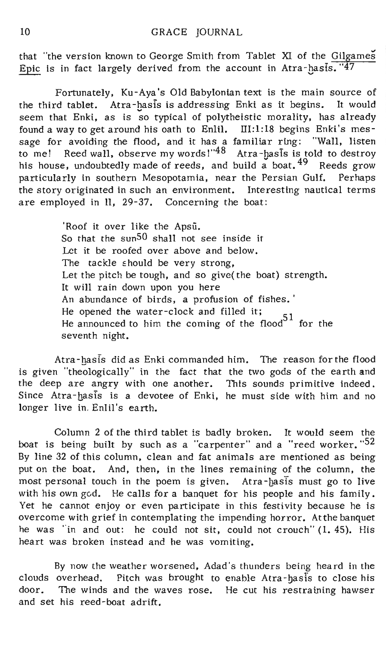that "the version known to George Smith from Tablet XI of the Gilgames Epic is in fact largely derived from the account in Atra-hasis.  $\sqrt[12]{47}$ 

Fortunately, Ku -Aya 's Old Babylonian text is the main source of the third tablet. Atra-bas1s is addressing Enki as it begins. It would seem that Enki, as is so typical of polytheistic morality, has already found a way to get around his oath to Enlil. III:1:18 begins Enki's message for avoiding the flood, and it has a familiar ring: "Wall, listen to me! Reed wall, observe my words!" $48$  Atra-has is told to destroy his house, undoubtedly made of reeds, and build a boat.<sup>49</sup> Reeds grow particularly in southern Mesopotamia, near the Persian Gulf. Perhaps the story originated in such an environment. Interesting nautical terms are employed in 11, 29-37. Concerning the boat:

> 'Roof it over like the Apsu. So that the sun<sup>50</sup> shall not see inside it Let it be roofed over above and below. The tackle should be very strong, Let the pitch be tough, and so give(the boat) strength. It will rain down upon you here An abundance of birds, a profusion of fishes. ' He opened the water-clock and filled it; He announced to him the coming of the flood  $51$  for the seventh night.

Atra-hasis did as Enki commanded him. The reason for the flood is given "theologically" in the fact that the two gods of the earth and the deep are angry with one another. This sounds primitive indeed. Since Atra-hasls is a devotee of Enki, he must side with him and no longer live in Enlil's earth.

Column 2 of the third tablet is badly broken. It would seem the boat is being built by such as a "carpenter" and a "reed worker.  $52$ By line 32 of this column, clean and fat animals are mentioned as being put on the boat. And, then, in the lines remaining of the column, the most personal touch in the poem is given. Atra-hasis must go to live with his own gcd. He calls for a banquet for his people and his family. Yet he cannot enjoy or even participate in this festivity because he is overcome with grief in contemplating the impending horror. Atthe banquet he was "in and out: he could not sit, could not crouch" (1. 45). His heart was broken instead and he was vomiting.

By now the weather worsened, Adad's thunders being heard in the clouds overhead. Pitch was brought to enable Atra-basis to close his door. The winds and the waves rose. He cut his restraining hawser and set his reed-boat adrift.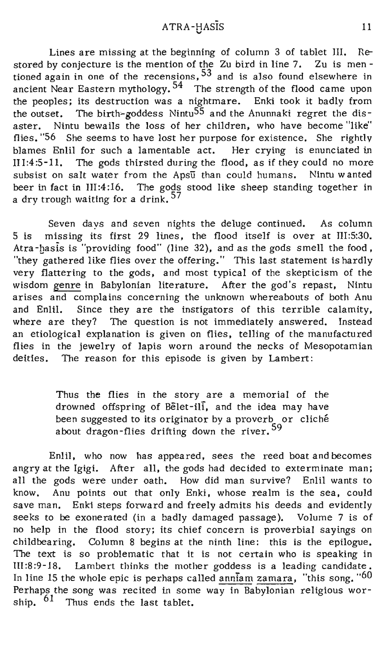Lines are missing at the beginning of column 3 of tablet **III.** Restored by conjecture is the mention of the Zu bird in line 7. Zu is mentioned again in one of the recensions, <sup>53</sup> and is also found elsewhere in ancient Near Eastern mythology.<sup>54</sup> The strength of the flood came upon the peoples; its destruction was a nightmare. Enki took it badly from the outset. The birth-goddess Nintu $5\overline{5}$  and the Anunnaki regret the disaster. Nintu bewails the loss of her children, who have become "like" flies. "56 She seems to have lost her purpose for existence. She rightly blames Enlil for such a lamentable act. Her crying is enunciated in IIl:4:5-11. The gods thirsted during the flood, as if they could no more subsist on salt water from the Apsu than could humans. Nintu wanted beer in fact in III:4 :16. The gods stood like sheep standing together in a dry trough waiting for a drink.  $57$ 

Seven days and seven nights the deluge continued. As column 5 is missing its first 29 lines, the flood itself is over at Ill:5:30. Atra-hasis is "providing food" (line 32), and as the gods smell the food, "they gathered like flies over the offering." This last statement is hardly very flattering to the gods, and most typical of the skepticism of the wisdom genre in Babylonian literature. After the god's repast, Nintu arises and complains concerning the unknown whereabouts of both Anu and Enlil. Since they are the instigators of this terrible calamity, where are they? The question is not immediately answered. Instead an etiological explanation is given on flies, telling of the manufactured flies in the jewelry of lapis worn around the necks of Mesopotamian deities. The reason for this episode is given by Lambert:

> Thus the flies in the story are a memorial of the drowned offspring of Belet-ili, and the idea may have been suggested to its originator by a proverb or cliche about dragon-flies drifting down the river. 59

Enlil, who now has appeared, sees the reed boat and becomes angry at the Igigi. After all, the gods had decided to exterminate man; all the gods were under oath. How did man survive? Enlil wants to know. Anu points out that only Enki, whose realm is the sea, could save man. Enki steps forward and freely admits his deeds and evidently seeks to be exonerated (in a badly damaged passage). Volume 7 is of no help in the flood story; its chief concern is proverbial sayings on childbearing. Column 8 begins at the ninth line: this is the epilogue. The text is so problematic that it is not certain who is speaking in III:8:9-I8. Lambert thinks the mother goddess is a leading candidate. In line 15 the whole epic is perhaps called anniam zamara, "this song. " $60$ Perhaps the song was recited in some way in Babylonian religious worship.  $61$  Thus ends the last tablet.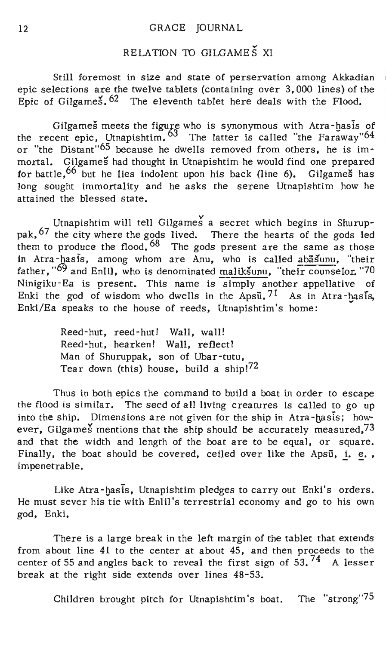#### 12 GRACE JOURNAL

# RELATION TO GILGAMES XI

Still foremost in size and state of perservation among Akkadian epic selections are the twelve tablets (containing over 3,000 lines) of the Epic of Gilgames.<sup>62</sup> The eleventh tablet here deals with the Flood.

Gilgames meets the figure who is synonymous with Atra-hasis of the recent epic, Utnapishtim.  $^{03}$  The latter is called "the Faraway"  $^{64}$ or "the Distant" $65$  because he dwells removed from others, he is immortal. Gilgames had thought in Utnapishtim he would find one prepared for battle,  $66$  but he lies indolent upon his back (line 6). Gilgames has long sought immortality and he asks the serene Utnapishtim how he attained the blessed state.

Utnapishtim will tell Gilgames a secret which begins in Shuruppak, <sup>67</sup> the city where the gods lived. There the hearts of the gods led them to produce the flood.  $68$  The gods present are the same as those in Atra-hasis, among whom are Anu, who is called abasunu, "their father,  $.69$  and Enlil, who is denominated malikšunu, "their counselor. "70 Ninigiku-Ea is present. This name is  $\frac{1}{\text{simply another}}$  appellative of Enki the god of wisdom who dwells in the Apsu. 71 As in Atra-hasts, Enki/Ea speaks to the house of reeds. Utnapishtim's home:

> Reed-hut, reed-hut! Wall, wall! Reed-hut, hearken! Wall, reflect! Man of Shuruppak, son of Ubar-tutu, Tear down (this) house, build a ship! $72$

Thus in both epics the command to build a boat in order to escape the flood is similar. The seed of all living creatures is called to go up into the ship. Dimensions are not given for the ship in Atra-hasis; however, Gilgames mentions that the ship should be accurately measured, 73 and that the width and length of the boat are to be equal, or square. Finally, the boat should be covered, ceiled over like the Apsu, i. e., impenetrable.

Like Atra-hasis, Utnapishtim pledges to carry out Enki's orders. He must sever his tie with Enlil's terrestrial economy and go to his own god, Enki.

There is a large break in the left margin of the tablet that extends from about line 41 to the center at about  $45$ , and then proceeds to the center of 55 and angles back to reveal the first sign of  $53.74$  A lesser break at the right side extends over lines 48-53.

Children brought pitch for Utnapishtim's boat. The "strong"75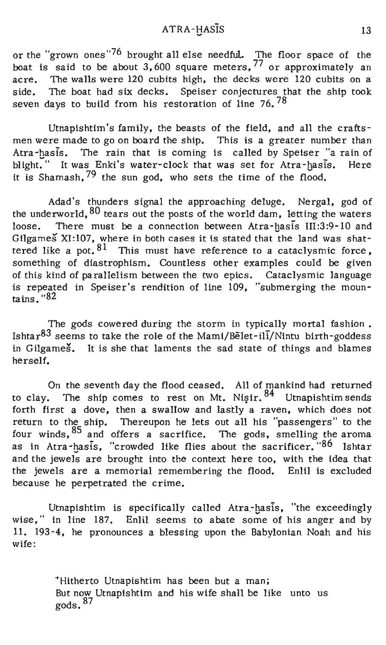# A TRA-HASIS 13

or the "grown ones"<sup>76</sup> brought all else needful. The floor space of the boat is said to be about 3,600 square meters,  $^{77}$  or approximately an acre. The walls were 120 cubits high, the decks were 120 cubits on a side. The boat had six decks. Speiser conjectures that the ship took seven days to build from his restoration of line  $76.78$ 

Utnapishtim's family, the beasts of the field, and all the craftsmen were made to go on board the ship. This is a greater number than Atra-hasis. The rain that is coming is called by Speiser "a rain of blight." It was Enki's water-clock that was set for Atra-hasis. Here it is Shamash,  $79$  the sun god, who sets the time of the flood.

Adad's thunders signal the approaching deluge. Nergal, god of the underworld,  $80$  tears out the posts of the world dam, letting the waters loose. There must be a connection between Atra-hasis III:3:9-10 and Gilgames XI:107, where in both cases it is stated that the land was shattered like a pot.  $81$  This must have reference to a cataclysmic force. something of diastrophism. Countless other examples could be given of this kind of parallelism between the two epics. Cataclysmic language is repeated in Speiser's rendition of line 109, "submerging the mountains. "82

The gods cowered during the storm in typically mortal fashion. Ishtar $83$  seems to take the role of the Mami/Belet-ili/Nintu birth-goddess in Gilgames. It is she that laments the sad state of things and blames herself.

On the seventh day the flood ceased. All of mankind had returned to clay. The ship comes to rest on Mt. Nigir.  $84$  Utnapishtim sends forth first a dove, then a swallow and lastly a raven, which does not return to the ship. Thereupon he lets out all his "passengers" to the four winds,  $85$  and offers a sacrifice. The gods, smelling the aroma as in Atra-hasis, "crowded like flies about the sacrificer."86 Ishtar and the jewels are brought into the context here too, with the idea that the jewels are a memorial remembering the flood. Enlil is excluded because he perpetrated the crime.

Utnapishtim is specifically called Atra-hasis, "the exceedingly wise," in line 187. Enlil seems to abate some of his anger and by 11. 193-4, he pronounces a blessing upon the Babylonian Noah and his wife:

> "Hitherto Utnapishtim has been but a man; But now Utnapishtim and his wife shall be like unto us gods. 87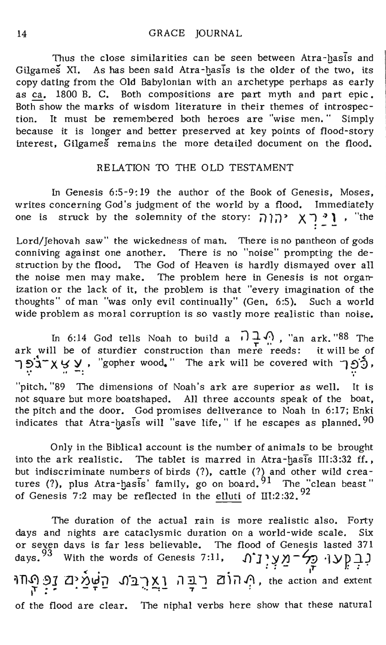Thus the close similarities can be seen between Atra-hasls and Gilgames XI. As has been said Atra-hasis is the older of the two, its copy dating from the Old Babylonian with an archetype perhaps as early as ca. 1800 B. C. Both compositions are part myth and part epic. Both show the marks of wisdom literature in their themes of introspection. It must be remembered both heroes are "Wise men." Simply because it is longer and better preserved at key points of flood-story  $interest$ , Gilgames remains the more detailed document on the flood.

#### RELATION TO THE OLD TESTAMENT

In Genesis 6:5-9: 19 the author of the Book of Genesis, Moses, writes concerning God's judgment of the world by a flood. Immediately one is struck by the solemnity of the story:  $\pi$ ;1,1  $\times$   $\pi$   $\cdot$   $\cdot$  'the

Lord/Jehovah saw" the wickedness of man. There is no pantheon of gods conniving against one another. There is no "noise" prompting the destruction by the flood. The God of Heaven is hardly dismayed over all the noise men may make. The problem here in Genesis is not organization or the lack of it, the problem is that "every imagination of the thoughts" of man "was only evil continually" (Gen. 6:5). Such a world wide problem as moral corruption is so vastly more realistic than noise.

In 6:14 God tells Noah to build a  $\overrightarrow{1}$ , "an ark. "88 The ark will be of sturdier construction than mere reeds: it will be of  $\gamma$ ולבך  $\lambda \vee \lambda$  , "gopher wood." The ark will be covered with  $\gamma$ י $\mathfrak{Z}$ , "pitch. "89 The dimensions of Noah's ark are superior as well. It is not square but more boatshaped. All three accounts speak of the boat, the pitch and the door. God promises deliverance to Noah in 6:17; Enki indicates that Atra-hasis will "save life," if he escapes as planned.  $90$ 

Only in the Biblical account is the number of animals to be brought into the ark realistic. The tablet is marred in Atra-hasis III:3:32 ff., but indiscriminate numbers of birds (?), cattle (?) and other wild creatures (?), plus Atra-hasis' family, go on board. <sup>91</sup> The "clean beast" of Genesis 7:2 may be reflected in the elluti of III:2:32. 92

The duration of the actual rain is more realistic also. Forty days and nights are cataclysmic duration on a world-wide scale. Six or seven davs is far less believable. The flood of Genesis lasted 371 days.<sup>93</sup> With the words of Genesis 7:11, *(יוניביי* 1975) ~n..(o) 01 Z]> ~ltl';l ..r)'::l.1 X 1 t1!l'1 a 1 il.f:\, the action and extent r ;. . - *<sup>T</sup>*- '" -,- *'T* - • of the flood are clear. The niphal verbs here show that these natural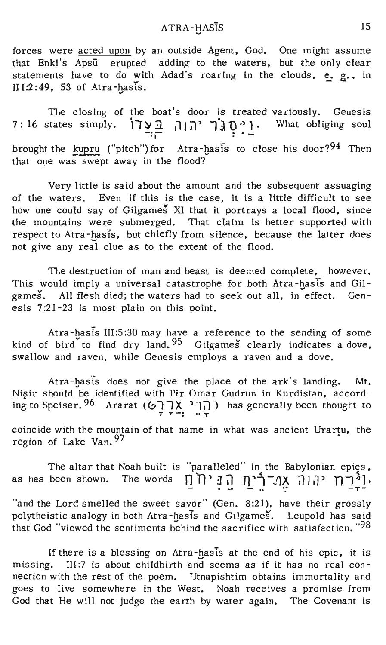### ATRA-HASIS

forces were acted upon by an outside Agent, God. One might assume that Enki's Apsu erupted adding to the waters, but the only clear statements have to do with Adad's roaring in the clouds,  $e$ ,  $g$ , in  $II1:2:49$ , 53 of Atra-hasis.

The closing of the boat's door is treated variously. Genesis rine closing or the boat s door is treated variously. Genesis<br>7:16 states simply,  $\prod_{i=1}^{n}$   $\prod_{i=1}^{n}$   $\prod_{i=1}^{n}$   $\prod_{i=1}^{n}$  What obliging soul brought the kupru ("pitch") for Atra-hasis to close his door?<sup>94</sup> Then that one was swept away in the flood?

Very little is said about the amount and the subsequent assuaging of the waters. Even if this is the case, it is a little difficult to see how one could say of Gilgames XI that it portrays a local flood, since the mountains were submerged. That claim is better supported with respect to Atra-hasis, but chiefly from silence, because the latter does not give any real clue as to the extent of the flood.

The destruction of man and beast is deemed complete, however. This would imply a universal catastrophe for both Atra-hasis and Gilgames. All flesh died; the waters had to seek out all, in effect. Genesis  $7:21-23$  is most plain on this point.

Atra-hasis III:5:30 may have a reference to the sending of some kind of bird to find dry land.  $95$  Gilgames clearly indicates a dove, swallow and raven, while Genesis employs a raven and a dove.

Atra-has's does not give the place of the ark's landing. Mt. Nişir should be identified with Pir Omar Gudrun in Kurdistan, accord-<br>ing to Speiser.<sup>96</sup> Ararat (הרי  $\begin{pmatrix} 7 & 7 \\ 7 & 7 \end{pmatrix}$ ) has generally been thought to

coincide with the mountain of that name in what was ancient Urartu, the region of Lake Van. 97

The altar that Noah built is "paralleled" in the Babylonian epics, as has been shown. The words n'n':/;'] n'-i-c1x ;}I.l' n--'~l, - **-.. ....** ~T- "and the Lord smelled the sweet savor" (Gen. 8:21), have their grossly polytheistic analogy in both Atra-hasls and Gilgames. Leupold has said that God "viewed the sentiments behind the sacrifice with satisfaction.  $^{98}$ 

If there is a blessing on Atra-hasis at the end of his epic, it is missing. III:7 is about childbirth and seems as if it has no real connection with the rest of the poem. 'Jtnapishtim obtains immortality and goes to live somewhere in the West. Noah receives a promise from God that He will not judge the earth by water again. The Covenant is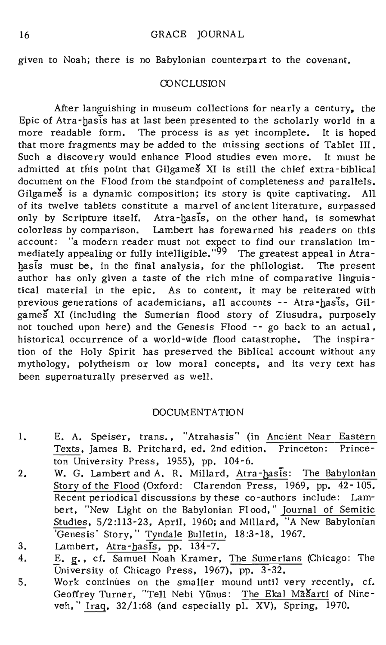given to Noah; there is no Babylonian counterpart to the covenant.

#### **CONCLUSION**

After languishing in museum collections for nearly a century, the Epic of Atra-hasis has at last been presented to the scholarly world in a more readable form. The process is as yet incomplete. It is hoped that more fragments may be added to the missing sections of Tablet III. Such a discovery would enhance Flood studies even more. It must be admitted at this point that Gilgames XI is still the chief extra-biblical document on the Flood from the standpoint of completeness and parallels. Gilgames is a dynamic composition; its story is quite captivating. All of its twelve tablets constitute a marvel of ancient literature, surpassed only by Scripture itself. Atra-hasis, on the other hand, is somewhat colorless by comparison. Lambert has forewarned his readers on this account: "a modern reader must not expect to find our translation immediately appealing or fully intelligible."<sup>99</sup> The greatest appeal in Atrahasis must be, in the final analysis, for the philologist. The present author has only given a taste of the rich mine of comparative linguistical material in the epic. As to content, it may be reiterated with previous generations of academicians, all accounts -- Atra-hasis. Gilgames Xl (including the Sumerian flood story of Ziusudra, purposely not touched upon here) and the Genesis Flood -- go back to an actual, historical occurrence of a world-wide flood catastrophe. The inspiration of the Holy Spirit has preserved the Biblical account without any mythology, polytheism or low moral concepts, and its very text has been supernaturally preserved as well.

#### DOCUMENTATION

- 1. E. A. Speiser, trans., "Atrahasis" (in Ancient Near Eastern Texts, James B. Pritchard, ed. 2nd edition. Princeton: Princeton University Press, 1955), pp. 104-6.
- 2. W. G. Lambert and A. R. Millard, Atra-hasis: The Babylonian Story of the Flood (Oxford: Clarendon Press, 1969, pp. 42- 105. Recent periodical discussions by these co-authors include: Lambert, "New Light on the Babylonian Flood," Journal of Semitic Studies, 5/2 :113-23, April, 1960; and Millard, "A New Babylonian 'Genesis' Story," Tyndale Bulletin, 18:3-18, 1967.

3. Lambert, Atra-basis, pp. 134-7.

- 4. E. g., cf. Samuel Noah Kramer, The Sumerians (Chicago: The University of Chicago Press, 1967), pp. 3-32.
- 5. Work continues on the smaller mound until very recently, cf. Geoffrey Turner, "Tell Nebi Yūnus: The Ekal Mašarti of Nineveh," Iraq,  $32/1:68$  (and especially pl. XV), Spring, 1970.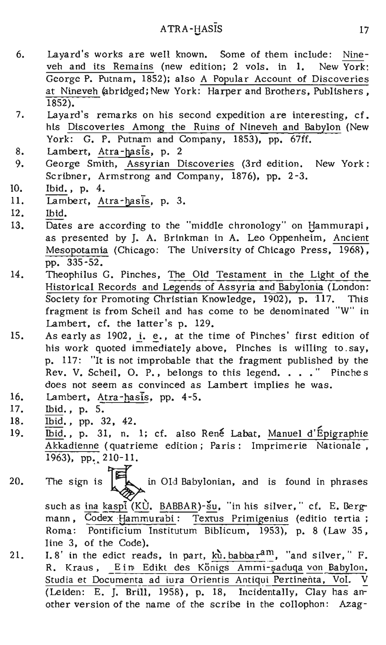- 6. Layard's works are well known. Some of them include: Nineveh and its Remains (new edition; 2 vols. in 1. New York: George P. Putnam, 1852); also A Popular Account of Discoveries at Nineveh (abridged; New York: Harper and Brothers, Publishers, 1852).
- 7. Layard's remarks on his second expedition are interesting, cf. his Discoveries Among the Ruins of Nineveh and Babylon (New York: G. P. Putnam and Company, 1853), pp. 67ff.
- 8. Lambert, Atra-hasis, p. 2
- 9. George Smith, Assyrian Discoveries (3rd edition. New York: Scribner, Armstrong and Company, 1876), pp. 2-3.
- 10. Ibid., p. 4.
- 11. Lambert, Atra-hasis, p. 3.
- 12. Ibid.
- 13. Dates are according to the "middle chronology" on Hammurapi, as presented by J. A. Brinkman in A. Leo Oppenheim, Ancient Mesopotamia (Chicago: The University of Chicago Press, 1968), pp. 335-52.
- 14. Theophilus G. Pinches, The Old Testament in the Light of the Historical Records and Legends of Assyria and Babylonia (London: Society for Promoting Christian Knowledge, 1902), p. 117. This fragment is from Scheil and has come to be denominated "W" in Lambert, cf. the latter's p. 129.
- 15. As early as 1902, i. e., at the time of Pinches' first edition of his work quoted immediately above, Pinches is willing to say, p. 117: "It is not improbable that the fragment published by the Rev. V. Scheil, O. P., belongs to this legend.  $\ldots$  " Pinche s does not seem as convinced as Lambert implies he was.
- 16. Lambert, Atra-hasis, pp. 4-5.
- 17. Ibid., p. 5.
- 18. Ibid., pp. 32, 42.
- 19. Ibid., p. 31, n. 1; cf. also René Labat, Manuel d'Épigraphie Akkadienne (quatrieme edition; Paris: Imprimerie Nationale,  $1963$ , pp.  $210-11$ .
- 20. The sign is  $\left[\begin{matrix} 1 & 0 & 0 & 0 & 0 \\ 0 & 0 & 0 & 0 & 0 \\ 0 & 0 & 0 & 0 & 0 \\ 0 & 0 & 0 & 0 & 0 \\ 0 & 0 & 0 & 0 & 0 \\ 0 & 0 & 0 & 0 & 0 \\ 0 & 0 & 0 & 0 & 0 \\ 0 & 0 & 0 & 0 & 0 \\ 0 & 0 & 0 & 0 & 0 \\ 0 & 0 & 0 & 0 & 0 \\ 0 & 0 & 0 & 0 & 0 \\ 0 & 0 & 0 & 0 & 0 \\ 0 & 0 & 0 & 0 & 0 \\ 0$ such as ina kaspi (KU. BABBAR)-su, "in his silver," cf. E. Bergmann, Codex Hammurabi: Textus Primigenius (editio tertia; Roma: Pontificium Institutum Biblicum, 1953), p. 8 (Law 35, line 3. of the Code).
- 21. I.8' in the edict reads, in part,  $k\hat{u}$ ,  $b$ abbar<sup>am</sup>, "and silver," F. R. Kraus, Ein Edikt des Königs Ammi-saduqa von Babylon. Studia et Documenta ad iura Orientis Antiqui Pertinenta, Vol.  $\overline{L}$  (Leiden: E. J. Brill, 1958), p. 18, Incidentally, Clay has another version of the name of the scribe in the collophon: Azag-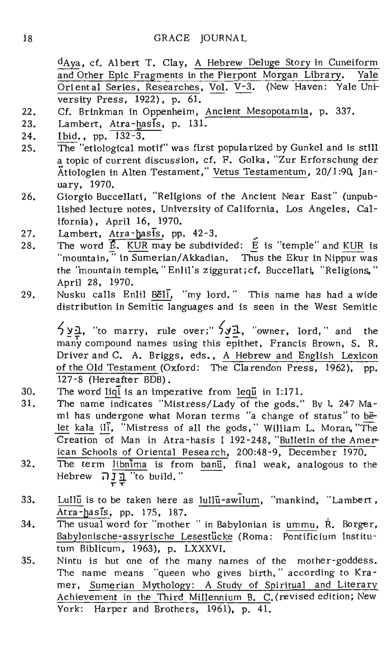$d$ Aya, cf. Albert T. Clay, A Hebrew Deluge Story in Cuneiform and Other Epic Fragments in the Pierpont Morgan Library. Yale Oriental Series, Researches, Vol. V-3. (New Haven: Yale University Press,  $1922$ ), p.  $61$ .

- 22. Cf. Brinkman in Oppenheim, Ancient Mesopotamia, p. 337.
- 23. Lambert, Atra-hasfs, p. 13l.
- 24. Ibid., pp. 132-3.
- 25. The "etiological motif" was first popularized by Gunkel and is still a topic of current discussion, cf. F. Golka, "Zur Erforschung der Atiologien in Alten Testament," Vetus Testamentum, 20/1:90, January, 1970.
- 26. Giorgio Buccellati, "Religions of the Ancient Near East" (unpublished lecture notes, University of California, Los Angeles, California), April 16, 1970.
- $27.$  Lambert, Atra-hasis, pp.  $42-3.$
- 28. The word  $\overline{E}$ . KUR may be subdivided:  $\overline{E}$  is "temple" and KUR is "mountain," in Sumerian/Akkadian. Thus the Ekur in Nippur was the 'mountain temple, "Enlil's ziggurat; cf. Buccellati, "Religions," April 28, 1970.
- 29. Nusku calls Enlil Beli, "my lord." This name has had a wide distribution in Semitic languages and is seen in the West Semitic

 $5y$ 2, "to marry, rule over;"  $5y$ 1, "owner, lord," and the many compound names using this epithet, Francis Brown, S. R. Driver and C. A. Briggs, eds., A Hebrew and English Lexicon of the Old Testament (Oxford: The Clarendon Press, 1962), pp. 127-8 (Hereafter BOB).

- 30. The word liqi is an imperative from leqii in 1:17l.
- 31. The name indicates "Mistress/Lady of the gods." By 1. 247 Mami has undergone what Moran terms "a change of status" to belet kala ili, "Mistress of all the gods," William L. Moran, "The Creation of Man in Atra-hasis I 192-248, "Bulletin of the American Schools of Oriental Research, 200:48-9, December 1970.
- $32.$  The term libnima is from banu, final weak, analogous to the  $Hebrew$   $\overrightarrow{J}$   $\underline{J}$   $\overrightarrow{u}$  to build. "
- 33. Lullu is to be taken here as lullu-awilum, "mankind, "Lambert, Atra-hasis, pp. 175, 187.
- 34. The usual word for "mother" in Babylonian is ummu, R. Borger, Babylonische-assyrische Lesestücke (Roma: Pontificium Institutum Biblicum, 1963), p. LXXXVI.
- 35. Nintu is but one of the many names of the mother-goddess. The name means "queen who gives birth," according to Kramer, Sumerian Mythology: A Study of Spiritual and Literary. Achievement in the Third Millennium B. C. (revised edition; New York: Harper and Brothers, 1961), p. 41.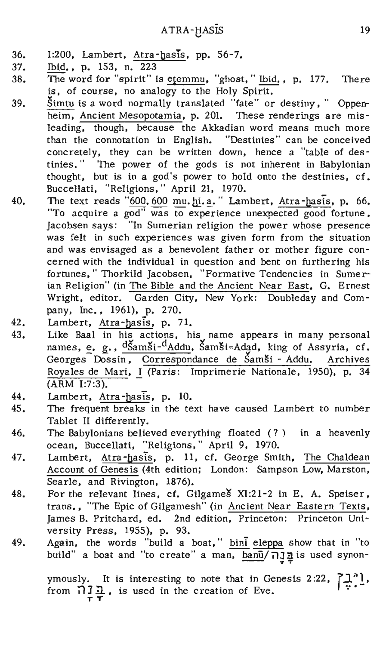- 36. 1:200, Lambert, Atra-hasis, pp. 56-7.
- 37. Ibid., p. 153, n. 223
- 38. The word for "spirit" is etemmu, "ghost," Lbid., p. 177. There is, of course, no analogy to the Holy Spirit.
- 39. Simtu is a word normally translated "fate" or destiny," Oppenheim, Ancient Mesopotamia, p. 201. These renderings are misleading, though, because the Akkadian word means much more than the connotation in English. "Destinies" can be conceived concretely, they can be written down, hence a "table of destinies." The power of the gods is not inherent in Babylonian thought, but is in a god's power to hold onto the destinies, cf. Buccellati, "Religions," April 21, 1970.
- 40. The text reads "600.600 mu.hi.a." Lambert, Atra-hasis, p. 66. "To acquire a god" was to experience unexpected good fortune. Jacobsen says: "In Sumerian religion the power whose presence was felt in such experiences was given form from the situation and was envisaged as a benevolent father or mother figure concerned with the individual in question and bent on furthering his fortunes, " Thorkild Jacobsen, "Formative Tendencies in Sumerian Religion" (in The Bible and the Ancient Near East, G. Ernest Wright, editor. Garden City, New York: Doubleday and Company, Inc., 1961), p. 270.
- 42 . Lambert, Atra-hasis, p. 71.
- 43. Like Baal in his actions, his name appears in many personal names, e. g., dšamši-dAddu, Šamši-Adad, king of Assyria, cf. Georges Dossin, Correspondance de Samši - Addu. Archives Royales de Mari, I (Paris: Imprimerie Nationale, 1950), p. 34  $(ARM I:7:3)$ .
- 44. Lambert, Atra-hasis, p. 10.
- 45. The frequent breaks in the text have caused Lambert to number Tablet II differently.
- 46. The Babylonians believed everything floated (? ) in a heavenly ocean, Buccellati, "Religions," April 9, 1970.
- 47. Lambert, Atra-hasis, p. 11, cf. George Smith, The Chaldean Account of Genesis (4th edition; London: Sampson Low, Marston, Searle, and Rivington, 1876).
- 48. For the relevant lines, cf. Gilgames XI:21-2 in E. A. Speiser, trans., "The Epic of Gilgamesh" (in Ancient Near Eastern Texts, James B. Pritchard, ed. 2nd edition, Princeton: Princeton University Press, 1955), p. 93.
- 49. Again, the words "build a boat," bini eleppa show that in "to build" a boat and "to create" a man, banu/
ig: is used synon-

ymously. It is interesting to note that in Genesis 2:22,  $7\frac{1}{4}$ , from  $\prod_{i=1}^{n}$ , is used in the creation of Eve.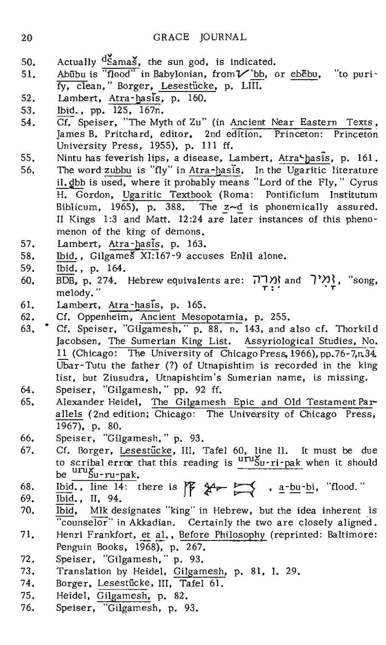- 50. Actually  $d_{\text{SamaS}}^S$ , the sun god, is indicated.
- 51. Abūbu is  $\overline{f}$ flood" in Babylonian, from  $V'$ bb, or ebebu, "to purify, clean, "Borger, Lesestücke, p. LIII.
- 52. Lambert, Atra-hasis, p. 160.
- 53. Ibid., pp. 125, 167n.
- 54.  $\overline{Cf_{\bullet}}$  Speiser, "The Myth of Zu" (in Ancient Near Eastern Texts, James B. Pritchard, editor, 2nd edition. Princeton: Princeton University Press, 1955), p. III ft.
- 55. Nintu has feverish lips, a disease, Lambert, Atra-hasis, p. 161.
- 56. The word zubbu is "fly" in Atra-hasis. In the Ugaritic literature il. gbb is used, where it probably means "Lord of the Fly," Cyrus H. Gordon, Ugaritic Textbook (Roma: Pontificium Institutum Biblicum, 1965), p. 388. The z~d is phonemically assured. II Kings 1:3 and Matt. 12:24 are later instances of this phenomenon of the king of demons.
- 57. Lambert, Atra-hasis, p. 163.
- 58. Ibid., Gilgameš XI:167-9 accuses Enlil alone.
- 59. Ibid., p. 164.
- 60. BDB, p. 274. Hebrew equivalents are:  $\prod_{\substack{\tau \in \mathbb{N} \\ \tau \in \mathbb{N}}}$  and  $\sum_{\substack{\tau \in \mathbb{N} \\ \tau \in \mathbb{N}}}$ , **<sup>n</sup> song,**
- 61. Lambert, Atra-hasis, p. 165.
- 62. Cf. Oppenheim, Ancient Mesopotamia, p. 255.
- 63. Cf. Speiser, "Gilgamesh," p. 88, n. 143, and also cf. Thorkild Jacobsen, The Sumerian King List. Assyriological Studies, No. 11 (Chicago: The University of Chicago Press, 1966), pp. 76-7,n.34. Ubar-Tutu the father (?) of Utnapishtim is recorded in the king list, but Ziusudra, Utnapishtim's Sumerian name, is missing.
- 64. Speiser, "Gilgamesh, " pp. 92 ff.
- 65. Alexander Heidel, The Gilgamesh Epic and Old Testament Parallels (2nd edition; Chicago: The University of Chicago Press, 1967). p. 80.
- 66. Speiser, "Gilgamesh," p. 93.
- 67. Cf. Borger, Lesestiicke, III, Tafel 60, line II. It must be due to scribal error that this reading is <sup>uru</sup>Su-ri-pak when it should **be uruSu-ru-pak.**
- 68. Ibid., line 14: there is  $\begin{bmatrix} 1 & 1 & 1 \\ 1 & 1 & 1 \end{bmatrix}$ , a-bu-bi, "flood."
- 69. Ibid., II, 94.
- 70. Ibid, Mlk designates "king" in Hebrew, but the idea inherent is "counselor" in Akkadian. Certainly the two are closely aligned.
- 71. Henri Frankfort, et al., Before Philosophy (reprinted: Baltimore: Penguin Books, 1968), p. 267.
- 72. Speiser, "Gilgamesh," p. 93.
- 73. Translation by Heidel, Gilgamesh, p. 81, 1. 29.
- 74. Borger, Lesestiicke, III, Tafel 61.
- 75. Heidel, Gilgamesh, p. 82.
- 76. Speiser, "Gilgamesh, p. 93.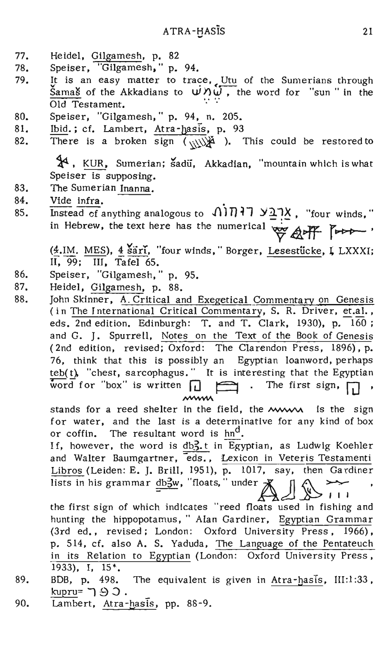- 77. Heidel, Gilgamesh, p. 82
- 78. Speiser, "Gilgamesh." p. 94.
- 79. It is an easy matter to trace, Utu of the Sumerians through  $\frac{\text{Sama8}}{\text{Sama8}}$  of the Akkadians to  $\overrightarrow{W}$ , the word for "sun" in the Old Testament.
- 80. Speiser, "Gilgamesh," p. 94, n. 205.
- 81. Ibid.; cf. Lambert, Atra-hasis, p. 93
- 82. There is a broken sign  $(\sqrt{\sqrt{2}})$ . This could be restored to

 $\mathbb{X}^4$ , KUR, Sumerian; šadui, Akkadian, "mountain which is what Speiser is supposing.

- 83. The Sumerian <u>Inanna</u>.<br>84. <u>Vide infra</u>.
- 
- 85. Instead of anything analogous to  $\Lambda$ )  $\Pi$  +  $\Lambda$   $\Lambda$   $\Lambda$ , "four winds," in Hebrew, the text here has the numerical  $\sum_{n=1}^{\infty}$

(4.IM. MES), 4 sari, "four winds," Borger, Lesestücke, I LXXXI; II, 99; III, Tafel 65.

- 86. Speiser, "Gilgamesh, " p. 95.
- 87. Heidel, Gilgamesh, p. 88.
- 88. John Skinner, A. Critical and Exegetical Commentary on Genesis (in The International Critical Commentary, S. R. Driver, et.al., eds. 2nd edition. Edinburgh: T. and T. Clark, 1930),  $p. 160$ ; and G, J. Spurrell, Notes on the Text of the Book of Genesis (2nd edition, revised; Oxford: The Clarendon Press, 1896), p. 76, think that this is possibly an Egyptian loanword, perhaps  $teb(t)$  "chest, sarcophagus." It is interesting that the Egyptian word for "box" is written  $\Box$   $\Box$  The first sign,  $\Box$ mm

stands for a reed shelter in the field, the www is the sign for water, and the last is a determinative for any kind of box or coffin. The resultant word is hn<sup>d</sup>.

If, however, the word is  $db_2$ , t in Egyptian, as Ludwig Koehler and Walter Baumgartner, eds., Lexicon in Veteris Testamenti Libros (Leiden: E. J. Brill, 1951), p. 1017, say, then Gardiner lists in his grammar  $\underline{\text{db}}\overline{\text{2w}}$ , "floats," under  $\bigotimes_{i=1}^{\infty} \bigcup_{j=1}^{\infty}$ .

the first sign of which indicates "reed floats used in fishing and hunting the hippopotamus, " Alan Gardiner, Egyptian Grammar (3rd ed., revised; London: Oxford University Press, 1966), p. 514, *ct.* also A. S. Yaduda, The Language of the Pentateuch in its Relation to Egyptian (London: Oxford University Press, 1933), I, 15\*.

- 89. BDB, p. 498. The equivalent is given in Atra-hasis, III:1:33, <u>kupru</u>= ヿ9コ .
- 90. Lambert, Atra-hasis, pp. 88-9.